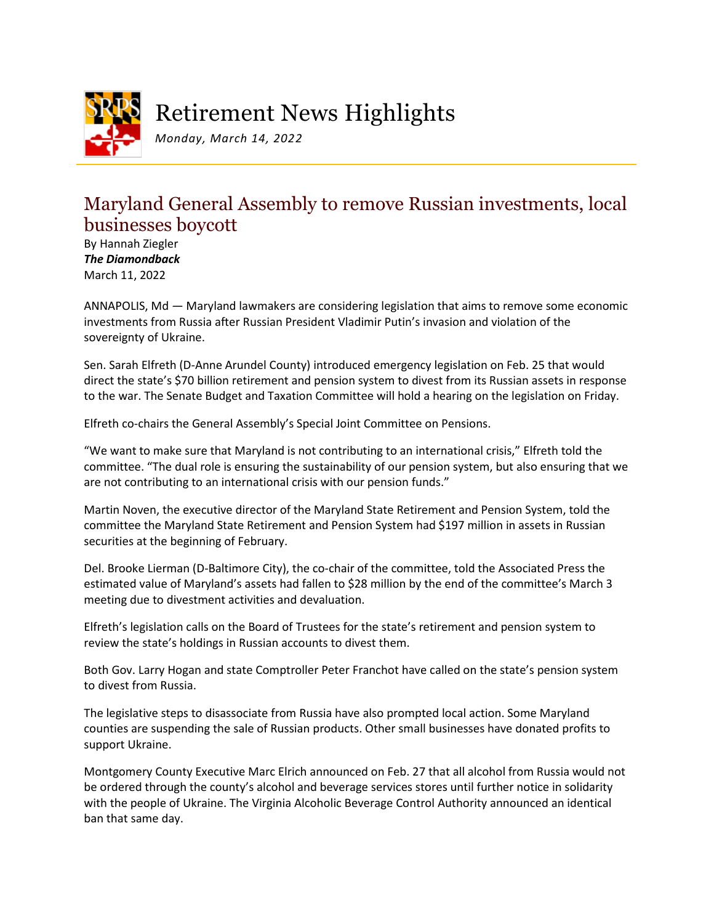

Retirement News Highlights

*Monday, March 14, 2022*

## Maryland General Assembly to remove Russian investments, local businesses boycott

By Hannah Ziegler *The Diamondback* March 11, 2022

ANNAPOLIS, Md — Maryland lawmakers are considering legislation that aims to remove some economic investments from Russia after Russian President Vladimir Putin's invasion and violation of the sovereignty of Ukraine.

Sen. Sarah Elfreth (D-Anne Arundel County) introduced emergency legislation on Feb. 25 that would direct the state's \$70 billion retirement and pension system to divest from its Russian assets in response to the war. The Senate Budget and Taxation Committee will hold a hearing on the legislation on Friday.

Elfreth co-chairs the General Assembly's Special Joint Committee on Pensions.

"We want to make sure that Maryland is not contributing to an international crisis," Elfreth told the committee. "The dual role is ensuring the sustainability of our pension system, but also ensuring that we are not contributing to an international crisis with our pension funds."

Martin Noven, the executive director of the Maryland State Retirement and Pension System, told the committee the Maryland State Retirement and Pension System had \$197 million in assets in Russian securities at the beginning of February.

Del. Brooke Lierman (D-Baltimore City), the co-chair of the committee, told the Associated Press the estimated value of Maryland's assets had fallen to \$28 million by the end of the committee's March 3 meeting due to divestment activities and devaluation.

Elfreth's legislation calls on the Board of Trustees for the state's retirement and pension system to review the state's holdings in Russian accounts to divest them.

Both Gov. Larry Hogan and state Comptroller Peter Franchot have called on the state's pension system to divest from Russia.

The legislative steps to disassociate from Russia have also prompted local action. Some Maryland counties are suspending the sale of Russian products. Other small businesses have donated profits to support Ukraine.

Montgomery County Executive Marc Elrich announced on Feb. 27 that all alcohol from Russia would not be ordered through the county's alcohol and beverage services stores until further notice in solidarity with the people of Ukraine. The Virginia Alcoholic Beverage Control Authority announced an identical ban that same day.